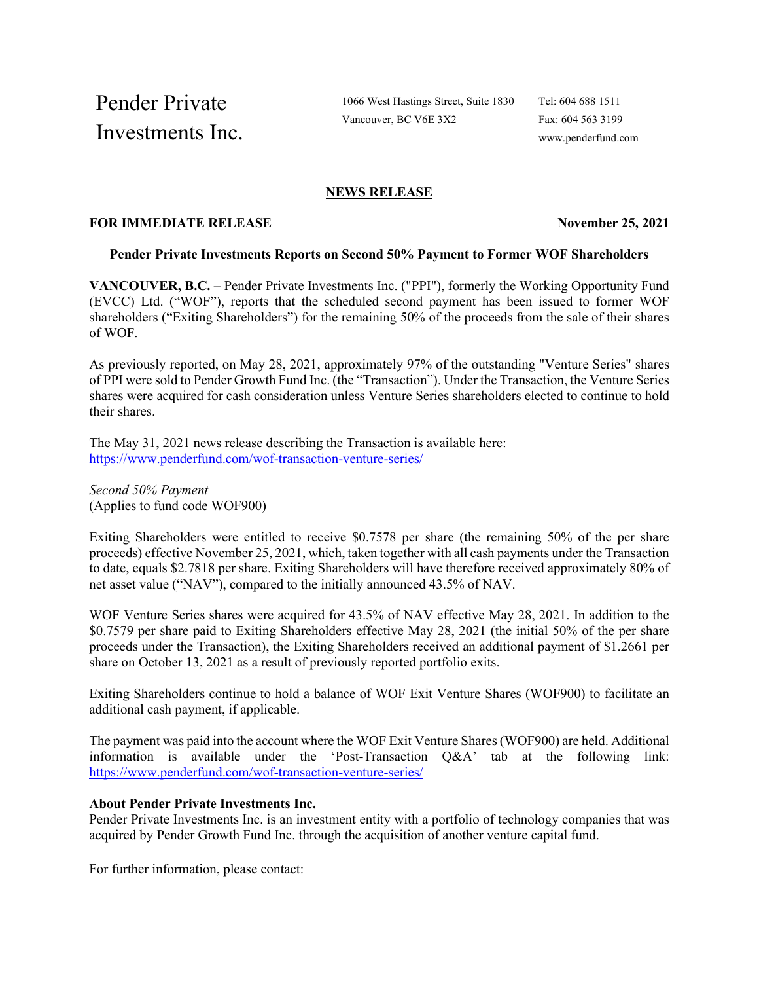Pender Private Investments Inc.

1066 West Hastings Street, Suite 1830 Vancouver, BC V6E 3X2

Tel: 604 688 1511 Fax: 604 563 3199 www.penderfund.com

# **NEWS RELEASE**

# **FOR IMMEDIATE RELEASE November 25, 2021**

#### **Pender Private Investments Reports on Second 50% Payment to Former WOF Shareholders**

**VANCOUVER, B.C. –** Pender Private Investments Inc. ("PPI"), formerly the Working Opportunity Fund (EVCC) Ltd. ("WOF"), reports that the scheduled second payment has been issued to former WOF shareholders ("Exiting Shareholders") for the remaining 50% of the proceeds from the sale of their shares of WOF.

As previously reported, on May 28, 2021, approximately 97% of the outstanding "Venture Series" shares of PPI were sold to Pender Growth Fund Inc. (the "Transaction"). Under the Transaction, the Venture Series shares were acquired for cash consideration unless Venture Series shareholders elected to continue to hold their shares.

The May 31, 2021 news release describing the Transaction is available here: <https://www.penderfund.com/wof-transaction-venture-series/>

*Second 50% Payment* (Applies to fund code WOF900)

Exiting Shareholders were entitled to receive \$0.7578 per share (the remaining 50% of the per share proceeds) effective November 25, 2021, which, taken together with all cash payments under the Transaction to date, equals \$2.7818 per share. Exiting Shareholders will have therefore received approximately 80% of net asset value ("NAV"), compared to the initially announced 43.5% of NAV.

WOF Venture Series shares were acquired for 43.5% of NAV effective May 28, 2021. In addition to the \$0.7579 per share paid to Exiting Shareholders effective May 28, 2021 (the initial 50% of the per share proceeds under the Transaction), the Exiting Shareholders received an additional payment of \$1.2661 per share on October 13, 2021 as a result of previously reported portfolio exits.

Exiting Shareholders continue to hold a balance of WOF Exit Venture Shares (WOF900) to facilitate an additional cash payment, if applicable.

The payment was paid into the account where the WOF Exit Venture Shares(WOF900) are held. Additional information is available under the 'Post-Transaction Q&A' tab at the following link: <https://www.penderfund.com/wof-transaction-venture-series/>

## **About Pender Private Investments Inc.**

Pender Private Investments Inc. is an investment entity with a portfolio of technology companies that was acquired by Pender Growth Fund Inc. through the acquisition of another venture capital fund.

For further information, please contact: